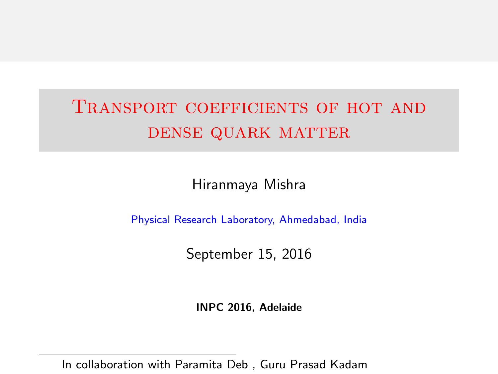Transport coefficients of hot and dense quark matter

Hiranmaya Mishra

Physical Research Laboratory, Ahmedabad, India

September 15, 2016

INPC 2016, Adelaide

In collaboration with Paramita Deb , Guru Prasad Kadam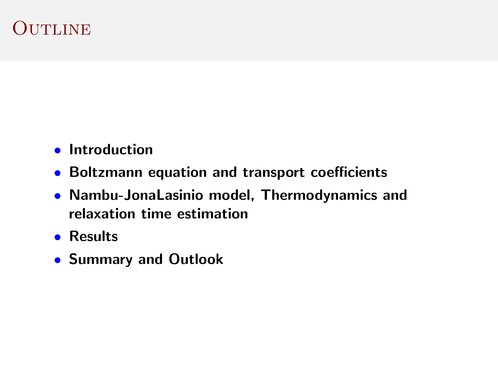### Outline

- Introduction
- Boltzmann equation and transport coefficients
- Nambu-JonaLasinio model, Thermodynamics and relaxation time estimation
- Results
- Summary and Outlook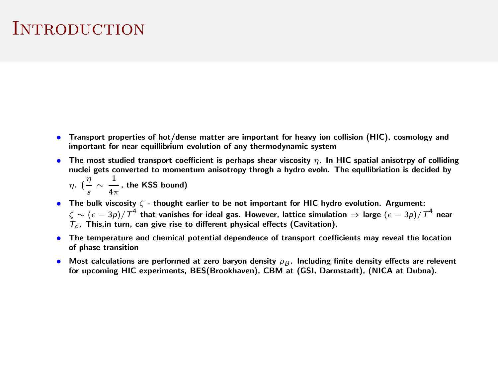#### **INTRODUCTION**

- Transport properties of hot/dense matter are important for heavy ion collision (HIC), cosmology and important for near equillibrium evolution of any thermodynamic system
- The most studied transport coefficient is perhaps shear viscosity  $n$ . In HIC spatial anisotrpy of colliding nuclei gets converted to momentum anisotropy throgh a hydro evoln. The equllibriation is decided by

$$
\eta.\,\left(\frac{\eta}{s}\sim\frac{1}{4\pi},\,\text{the KSS bound}\right)
$$

- The bulk viscosity  $\zeta$  thought earlier to be not important for HIC hydro evolution. Argument:  $\zeta\sim(\epsilon-3\rho)/\mathcal{T}^4$  that vanishes for ideal gas. However, lattice simulation  $\Rightarrow$  large  $(\epsilon-3\rho)/\mathcal{T}^4$  near  $\overline{\tau}_c$ . This in turn, can give rise to different physical effects (Cavitation).
- The temperature and chemical potential dependence of transport coefficients may reveal the location of phase transition
- Most calculations are performed at zero baryon density  $\rho_B$ . Including finite density effects are relevent for upcoming HIC experiments, BES(Brookhaven), CBM at (GSI, Darmstadt), (NICA at Dubna).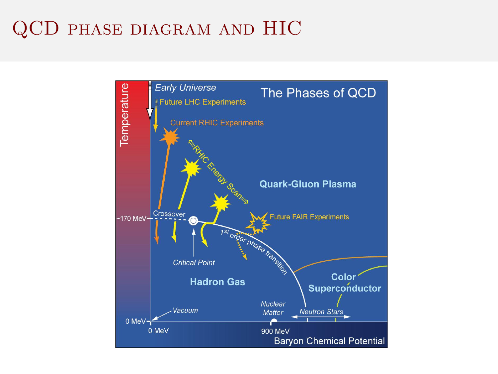# QCD phase diagram and HIC

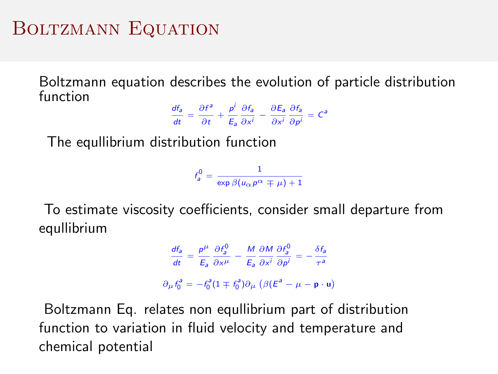### BOLTZMANN EQUATION

Boltzmann equation describes the evolution of particle distribution function

$$
\frac{df_a}{dt} = \frac{\partial f^a}{\partial t} + \frac{p^i}{E_a} \frac{\partial f_a}{\partial x^i} - \frac{\partial E_a}{\partial x^i} \frac{\partial f_a}{\partial p^i} = C^a
$$

The equllibrium distribution function

$$
f_a^0 = \frac{1}{\exp \beta (u_\alpha \rho^\alpha \mp \mu) + 1}
$$

To estimate viscosity coefficients, consider small departure from equllibrium

$$
\frac{df_a}{dt} = \frac{p^{\mu}}{E_a} \frac{\partial f_a^0}{\partial x^{\mu}} - \frac{M}{E_a} \frac{\partial M}{\partial x^i} \frac{\partial f_a^0}{\partial p^i} = -\frac{\delta f_a}{\tau^a}
$$

$$
\partial_{\mu} f_0^a = -f_0^a (1 \mp f_0^a) \partial_{\mu} (\beta (E^a - \mu - \mathbf{p} \cdot \mathbf{u}))
$$

Boltzmann Eq. relates non equllibrium part of distribution function to variation in fluid velocity and temperature and chemical potential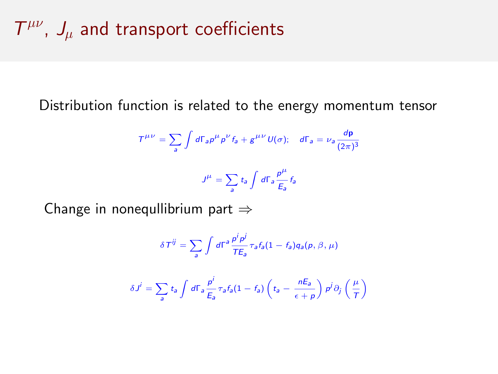# $T^{\mu\nu}$ ,  $J_{\mu}$  and transport coefficients

Distribution function is related to the energy momentum tensor

$$
T^{\mu\nu} = \sum_{a} \int d\Gamma_{a} p^{\mu} p^{\nu} f_{a} + g^{\mu\nu} U(\sigma); \quad d\Gamma_{a} = \nu_{a} \frac{d\rho}{(2\pi)^{3}}
$$

$$
J^{\mu} = \sum_{a} t_{a} \int d\Gamma_{a} \frac{p^{\mu}}{E_{a}} f_{a}
$$

Change in nonequllibrium part ⇒

$$
\delta T^{ij} = \sum_{a} \int d\Gamma^{a} \frac{p^{i} p^{j}}{TE_{a}} \tau_{a} f_{a} (1 - f_{a}) q_{a}(p, \beta, \mu)
$$

$$
\delta J^i = \sum_a t_a \int d\Gamma_a \frac{p^i}{E_a} \tau_a f_a (1 - f_a) \left( t_a - \frac{nE_a}{\epsilon + p} \right) p^j \partial_j \left( \frac{\mu}{T} \right)
$$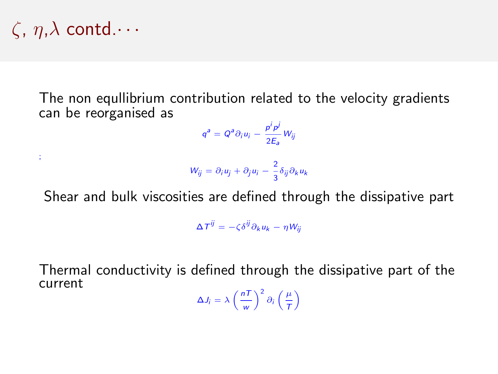$$
\zeta, \eta, \lambda \text{ contd.} \cdots
$$

;

The non equllibrium contribution related to the velocity gradients can be reorganised as

$$
q^a = Q^a \partial_i u_i - \frac{p^i p^j}{2E_a} W_{ij}
$$

$$
W_{ij} = \partial_i u_j + \partial_j u_i - \frac{2}{3} \delta_{ij} \partial_k u_k
$$

Shear and bulk viscosities are defined through the dissipative part

 $\Delta \, T^{\bar i \bar j} = - \zeta \delta^{\bar i \bar j} \partial_k u_k - \eta \, W_{\bar i \bar j}$ 

Thermal conductivity is defined through the dissipative part of the current

 $\Delta J_i = \lambda \left( \frac{nT}{2} \right)$ w  $\int^2 \partial_i \left( \frac{\mu}{\tau} \right)$ T λ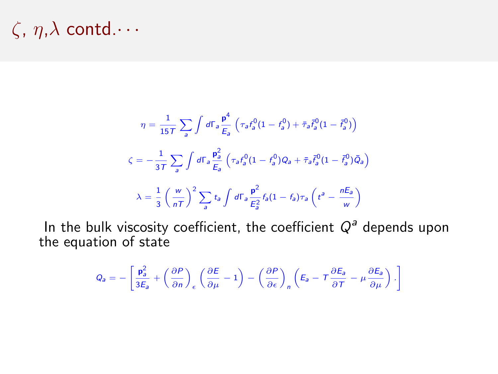# $\zeta$ ,  $\eta$ ,  $\lambda$  contd...

$$
\eta = \frac{1}{15T} \sum_{a} \int d\Gamma_{a} \frac{p^{4}}{E_{a}} \left( \tau_{a} f_{a}^{0} (1 - f_{a}^{0}) + \tilde{\tau}_{a} \tilde{f}_{a}^{0} (1 - \tilde{f}_{a}^{0}) \right)
$$
  
\n
$$
\zeta = -\frac{1}{3T} \sum_{a} \int d\Gamma_{a} \frac{p_{a}^{2}}{E_{a}} \left( \tau_{a} f_{a}^{0} (1 - f_{a}^{0}) Q_{a} + \tilde{\tau}_{a} \tilde{f}_{a}^{0} (1 - \tilde{f}_{a}^{0}) \tilde{Q}_{a} \right)
$$
  
\n
$$
\lambda = \frac{1}{3} \left( \frac{w}{nT} \right)^{2} \sum_{a} t_{a} \int d\Gamma_{a} \frac{p^{2}}{E_{a}^{2}} f_{a} (1 - f_{a}) \tau_{a} \left( t^{a} - \frac{nE_{a}}{w} \right)
$$

In the bulk viscosity coefficient, the coefficient  $Q^a$  depends upon the equation of state

$$
Q_a = -\left[\frac{p_a^2}{3E_a} + \left(\frac{\partial P}{\partial n}\right)_e \left(\frac{\partial E}{\partial \mu} - 1\right) - \left(\frac{\partial P}{\partial \epsilon}\right)_n \left(E_a - T\frac{\partial E_a}{\partial T} - \mu \frac{\partial E_a}{\partial \mu}\right). \right]
$$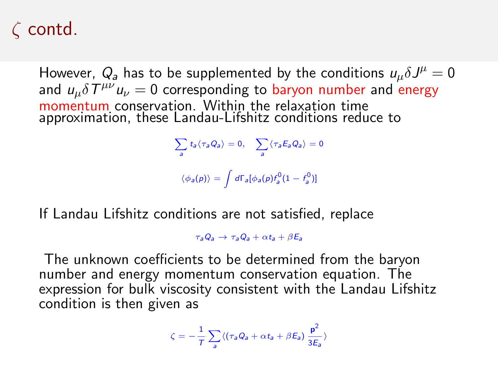# $\zeta$  contd.

However,  $Q_a$  has to be supplemented by the conditions  $u_\mu \delta J^\mu = 0$ and  $u_\mu \delta \, T^{\mu\nu} u_\nu = 0$  corresponding to baryon number and energy momentum conservation. Within the relaxation time approximation, these Landau-Lifshitz conditions reduce to

> $\sum$  $\sum_{a} t_a \langle \tau_a Q_a \rangle = 0, \quad \sum_{a}$  $\sum_a \langle \tau_a E_a Q_a \rangle = 0$  $\langle \phi_a(p) \rangle = \int d \Gamma_a [\phi_a(p) f_a^0(1 - f_a^0)]$

If Landau Lifshitz conditions are not satisfied, replace

 $\tau_2 Q_2 \rightarrow \tau_2 Q_2 + \alpha t_2 + \beta E_2$ 

The unknown coefficients to be determined from the baryon number and energy momentum conservation equation. The expression for bulk viscosity consistent with the Landau Lifshitz condition is then given as

$$
\zeta=-\frac{1}{T}\sum_a \langle (\tau_a Q_a + \alpha t_a + \beta E_a) \frac{\mathbf{p}^2}{3E_a} \rangle
$$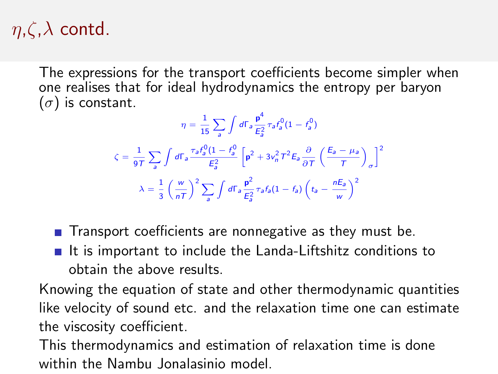## $\eta, \zeta, \lambda$  contd.

The expressions for the transport coefficients become simpler when one realises that for ideal hydrodynamics the entropy per baryon  $(\sigma)$  is constant.

$$
\eta = \frac{1}{15} \sum_{a} \int d\Gamma_{a} \frac{\mathsf{p}^{4}}{E_{a}^{2}} \tau_{a} f_{g}^{0} (1 - f_{g}^{0})
$$
\n
$$
\zeta = \frac{1}{9T} \sum_{a} \int d\Gamma_{a} \frac{\tau_{a} f_{g}^{0} (1 - f_{g}^{0})}{E_{a}^{2}} \left[ \mathsf{p}^{2} + 3v_{n}^{2} T^{2} E_{a} \frac{\partial}{\partial T} \left( \frac{E_{a} - \mu_{a}}{T} \right)_{\sigma} \right]^{2}
$$
\n
$$
\lambda = \frac{1}{3} \left( \frac{w}{nT} \right)^{2} \sum_{a} \int d\Gamma_{a} \frac{\mathsf{p}^{2}}{E_{a}^{2}} \tau_{a} f_{a} (1 - f_{a}) \left( t_{a} - \frac{nE_{a}}{w} \right)^{2}
$$

- $\blacksquare$  Transport coefficients are nonnegative as they must be.
- $\blacksquare$  It is important to include the Landa-Liftshitz conditions to obtain the above results.

Knowing the equation of state and other thermodynamic quantities like velocity of sound etc. and the relaxation time one can estimate the viscosity coefficient.

This thermodynamics and estimation of relaxation time is done within the Nambu Jonalasinio model.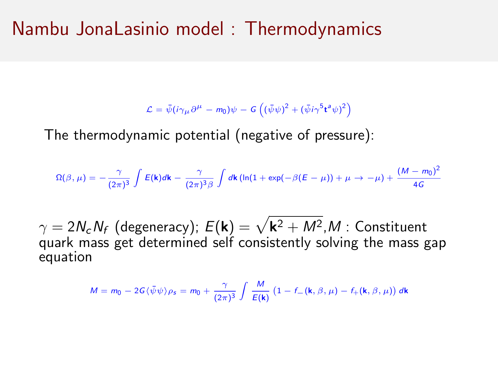#### Nambu JonaLasinio model : Thermodynamics

$$
\mathcal{L} = \bar{\psi}(i\gamma_{\mu}\partial^{\mu} - m_{0})\psi - G\left((\bar{\psi}\psi)^{2} + (\bar{\psi}i\gamma^{5}\mathbf{t}^{a}\psi)^{2}\right)
$$

The thermodynamic potential (negative of pressure):

$$
\Omega(\beta,\mu) = -\frac{\gamma}{(2\pi)^3} \int E(\mathbf{k}) d\mathbf{k} - \frac{\gamma}{(2\pi)^3 \beta} \int d\mathbf{k} \left( \ln(1 + \exp(-\beta(E-\mu)) + \mu \to -\mu) + \frac{(M-m_0)^2}{4G} \right)
$$

 $\gamma = 2\mathcal{N}_c \mathcal{N}_f$  (degeneracy);  $E(\mathbf{k}) = \sqrt{\mathbf{k}^2 + M^2}$ , $M$  : Constituent quark mass get determined self consistently solving the mass gap equation

$$
M = m_0 - 2G \langle \bar{\psi}\psi \rangle \rho_s = m_0 + \frac{\gamma}{(2\pi)^3} \int \frac{M}{E(\mathbf{k})} \left(1 - f_-(\mathbf{k}, \beta, \mu) - f_+(\mathbf{k}, \beta, \mu)\right) d\mathbf{k}
$$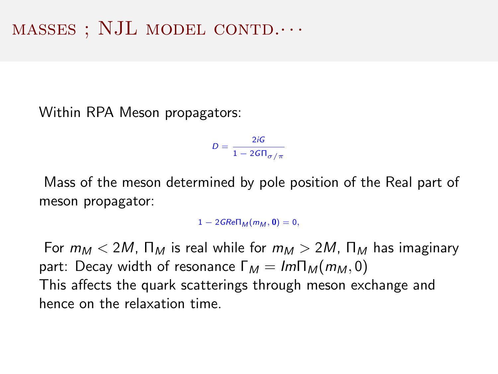Within RPA Meson propagators:

 $D = \frac{2iG}{1 - 2.05}$  $1-2G\Pi_{\sigma/\pi}$ 

Mass of the meson determined by pole position of the Real part of meson propagator:

 $1 - 2GRe\prod_{M}(m_{M}, 0) = 0.$ 

For  $m_M < 2M$ ,  $\prod_M$  is real while for  $m_M > 2M$ ,  $\prod_M$  has imaginary part: Decay width of resonance  $\Gamma_M = Im \Pi_M(m_M, 0)$ This affects the quark scatterings through meson exchange and hence on the relaxation time.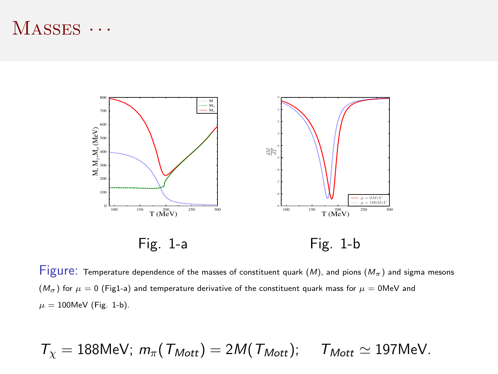#### $MASSES \cdots$



Figure: Temperature dependence of the masses of constituent quark  $(M)$ , and pions  $(M_\pi)$  and sigma mesons  $(M_{\sigma})$  for  $\mu = 0$  (Fig1-a) and temperature derivative of the constituent quark mass for  $\mu = 0$ MeV and  $\mu = 100$ MeV (Fig. 1-b).

$$
T_{\chi} = 188 \text{MeV}; \; m_{\pi}(T_{Mott}) = 2M(T_{Mott}); \quad T_{Mott} \simeq 197 \text{MeV}.
$$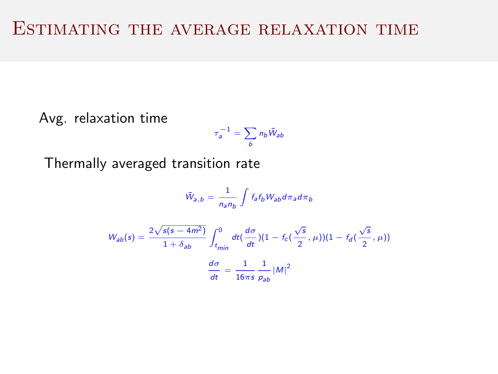Avg. relaxation time

$$
\tau_a^{-1} = \sum_b n_b \bar{W}_{ab}
$$

Thermally averaged transition rate

$$
\bar{W}_{a,b}=\frac{1}{n_{a}n_{b}}\int f_{a}f_{b}W_{ab}d\pi_{a}d\pi_{b}
$$

$$
W_{ab}(s) = \frac{2\sqrt{s(s-4m^2)}}{1+\delta_{ab}} \int_{t_{min}}^{0} dt (\frac{d\sigma}{dt})(1 - f_c(\frac{\sqrt{s}}{2}, \mu))(1 - f_d(\frac{\sqrt{s}}{2}, \mu))
$$

$$
\frac{d\sigma}{dt} = \frac{1}{16\pi s} \frac{1}{p_{ab}} |M|^2
$$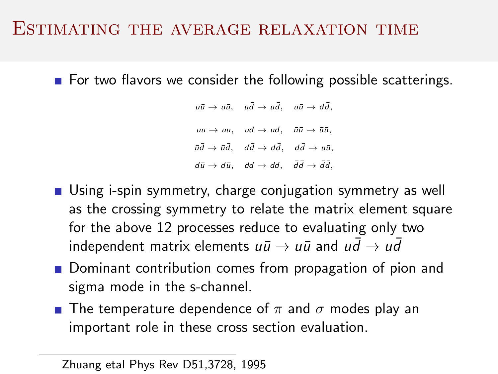For two flavors we consider the following possible scatterings.

 $u\bar{u} \rightarrow u\bar{u}, \quad u\bar{d} \rightarrow u\bar{d}, \quad u\bar{u} \rightarrow d\bar{d},$  $uu \rightarrow uu, \quad ud \rightarrow ud, \quad \bar{u}\bar{u} \rightarrow \bar{u}\bar{u},$  $\bar{u}\bar{d} \rightarrow \bar{u}\bar{d}, \quad d\bar{d} \rightarrow d\bar{d}, \quad d\bar{d} \rightarrow u\bar{u},$  $d\bar{u} \rightarrow d\bar{u}$ ,  $dd \rightarrow dd$ ,  $\bar{d}\bar{d} \rightarrow \bar{d}\bar{d}$ ,

- **Using i-spin symmetry, charge conjugation symmetry as well** as the crossing symmetry to relate the matrix element square for the above 12 processes reduce to evaluating only two independent matrix elements  $u\bar{u} \rightarrow u\bar{u}$  and  $u\bar{d} \rightarrow u\bar{d}$
- **Dominant contribution comes from propagation of pion and** sigma mode in the s-channel.
- **The temperature dependence of**  $\pi$  **and**  $\sigma$  **modes play an** important role in these cross section evaluation.

Zhuang etal Phys Rev D51,3728, 1995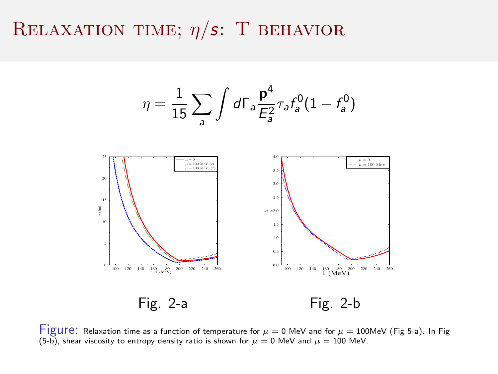### RELAXATION TIME;  $\eta/s$ : T BEHAVIOR





Figure: Relaxation time as a function of temperature for  $\mu = 0$  MeV and for  $\mu = 100$ MeV (Fig 5-a). In Fig (5-b), shear viscosity to entropy density ratio is shown for  $\mu = 0$  MeV and  $\mu = 100$  MeV.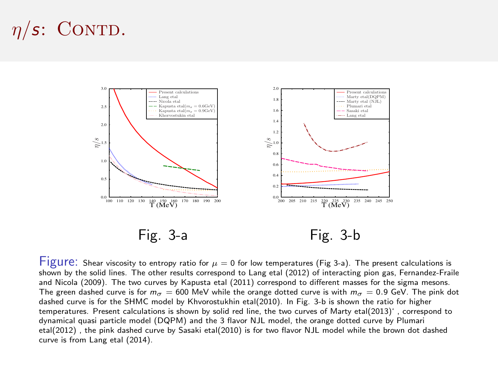# $\eta$ /s: CONTD.



Figure: Shear viscosity to entropy ratio for  $\mu = 0$  for low temperatures (Fig 3-a). The present calculations is shown by the solid lines. The other results correspond to Lang etal (2012) of interacting pion gas, Fernandez-Fraile and Nicola (2009). The two curves by Kapusta etal (2011) correspond to different masses for the sigma mesons. The green dashed curve is for  $m_{\tau} = 600$  MeV while the orange dotted curve is with  $m_{\tau} = 0.9$  GeV. The pink dot dashed curve is for the SHMC model by Khvorostukhin etal(2010). In Fig. 3-b is shown the ratio for higher temperatures. Present calculations is shown by solid red line, the two curves of Marty etal(2013)' , correspond to dynamical quasi particle model (DQPM) and the 3 flavor NJL model, the orange dotted curve by Plumari etal(2012) , the pink dashed curve by Sasaki etal(2010) is for two flavor NJL model while the brown dot dashed curve is from Lang etal (2014).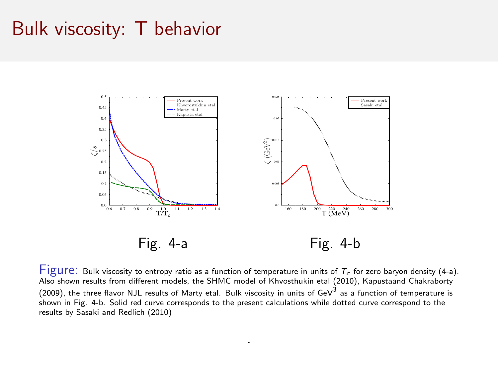### Bulk viscosity: T behavior



Figure: Bulk viscosity to entropy ratio as a function of temperature in units of  $T_c$  for zero baryon density (4-a). Also shown results from different models, the SHMC model of Khvosthukin etal (2010), Kapustaand Chakraborty (2009), the three flavor NJL results of Marty etal. Bulk viscosity in units of  $\text{GeV}^3$  as a function of temperature is shown in Fig. 4-b. Solid red curve corresponds to the present calculations while dotted curve correspond to the results by Sasaki and Redlich (2010)

.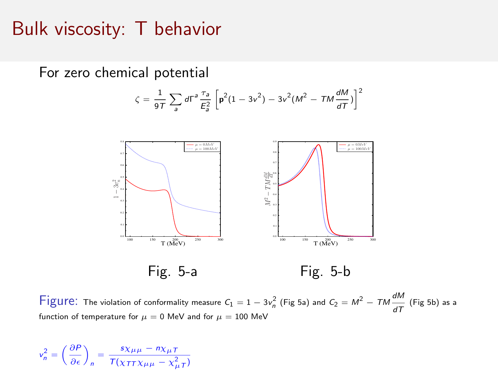### Bulk viscosity: T behavior

For zero chemical potential

$$
\zeta = \frac{1}{9T} \sum_{a} d\Gamma^{a} \frac{\tau_{a}}{E_{a}^{2}} \left[ p^{2} (1 - 3v^{2}) - 3v^{2} (M^{2} - TM \frac{dM}{dT}) \right]^{2}
$$



Figure: The violation of conformality measure  $C_1 = 1 - 3v_n^2$  (Fig 5a) and  $C_2 = M^2 - TM \frac{dM}{dT}$  $\frac{1}{d\mathcal{T}}$  (Fig 5b) as a function of temperature for  $\mu = 0$  MeV and for  $\mu = 100$  MeV

 $v_n^2 = \left(\frac{\partial P}{\partial \epsilon}\right)_n = \frac{s\chi_{\mu\mu} - n\chi_{\mu\tau}}{T(\chi_{TT}\chi_{\mu\mu} - \chi^2_{\mu\tau})}$  $T(\chi_{TT}\chi_{\mu\mu}-\chi^2_{\mu T})$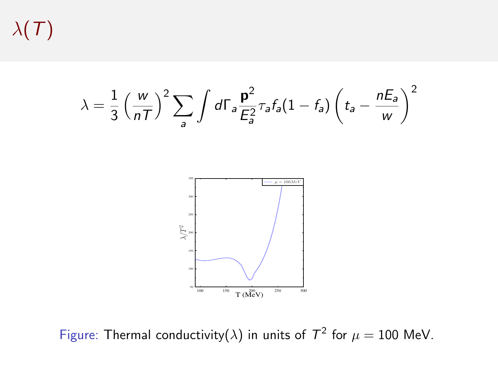$\lambda(T)$ 

$$
\lambda = \frac{1}{3} \left( \frac{w}{nT} \right)^2 \sum_{a} \int d\Gamma_a \frac{\mathbf{p}^2}{E_a^2} \tau_a f_a (1 - f_a) \left( t_a - \frac{nE_a}{w} \right)^2
$$



Figure: Thermal conductivity( $\lambda$ ) in units of  $T^2$  for  $\mu = 100$  MeV.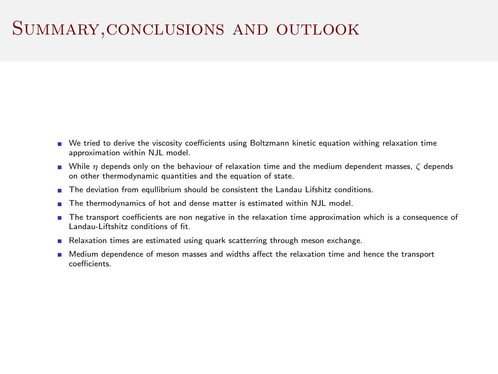#### Summary,conclusions and outlook

- We tried to derive the viscosity coefficients using Boltzmann kinetic equation withing relaxation time approximation within NJL model.
- While  $\eta$  depends only on the behaviour of relaxation time and the medium dependent masses,  $\zeta$  depends on other thermodynamic quantities and the equation of state.
- The deviation from equilibrium should be consistent the Landau Lifshitz conditions.
- The thermodynamics of hot and dense matter is estimated within NJL model.
- The transport coefficients are non negative in the relaxation time approximation which is a consequence of Landau-Liftshitz conditions of fit.
- Relaxation times are estimated using quark scatterring through meson exchange.
- Medium dependence of meson masses and widths affect the relaxation time and hence the transport coefficients.